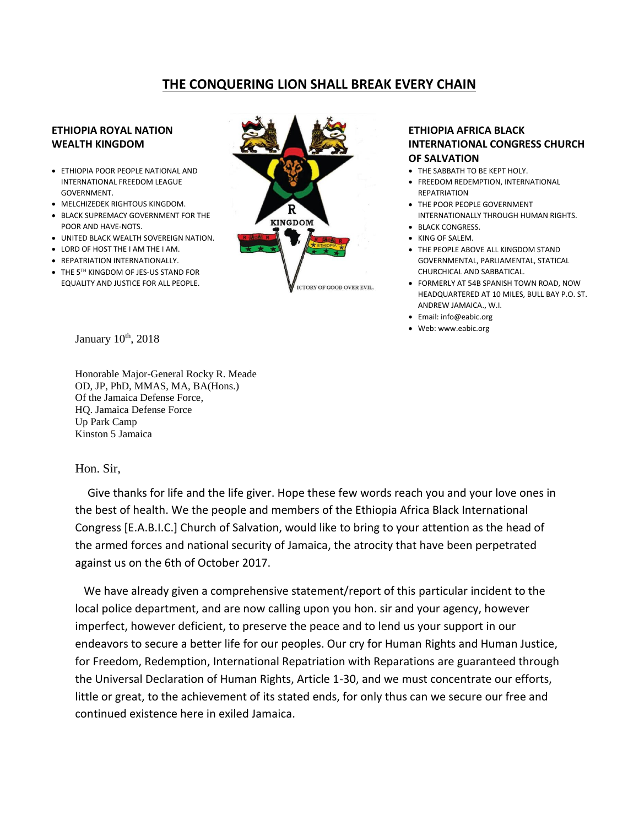## **THE CONQUERING LION SHALL BREAK EVERY CHAIN**

## **ETHIOPIA ROYAL NATION WEALTH KINGDOM**

- **ETHIOPIA POOR PEOPLE NATIONAL AND** INTERNATIONAL FREEDOM LEAGUE GOVERNMENT.
- MELCHIZEDEK RIGHTOUS KINGDOM.
- BLACK SUPREMACY GOVERNMENT FOR THE POOR AND HAVE-NOTS.
- UNITED BLACK WEALTH SOVEREIGN NATION.
- LORD OF HOST THE I AM THE I AM.
- REPATRIATION INTERNATIONALLY.
- THE 5TH KINGDOM OF JES-US STAND FOR EQUALITY AND JUSTICE FOR ALL PEOPLE.



## **ETHIOPIA AFRICA BLACK INTERNATIONAL CONGRESS CHURCH OF SALVATION**

- THE SABBATH TO BE KEPT HOLY.
- FREEDOM REDEMPTION, INTERNATIONAL **REPATRIATION**
- THE POOR PEOPLE GOVERNMENT INTERNATIONALLY THROUGH HUMAN RIGHTS.
- BLACK CONGRESS.
- KING OF SALEM.
- THE PEOPLE ABOVE ALL KINGDOM STAND GOVERNMENTAL, PARLIAMENTAL, STATICAL CHURCHICAL AND SABBATICAL.
- FORMERLY AT 54B SPANISH TOWN ROAD, NOW HEADQUARTERED AT 10 MILES, BULL BAY P.O. ST. ANDREW JAMAICA., W.I.
- Email: info@eabic.org
- Web: www.eabic.org

January 10<sup>th</sup>, 2018

Honorable Major-General Rocky R. Meade OD, JP, PhD, MMAS, MA, BA(Hons.) Of the Jamaica Defense Force, HQ. Jamaica Defense Force Up Park Camp Kinston 5 Jamaica

Hon. Sir,

 Give thanks for life and the life giver. Hope these few words reach you and your love ones in the best of health. We the people and members of the Ethiopia Africa Black International Congress [E.A.B.I.C.] Church of Salvation, would like to bring to your attention as the head of the armed forces and national security of Jamaica, the atrocity that have been perpetrated against us on the 6th of October 2017.

 We have already given a comprehensive statement/report of this particular incident to the local police department, and are now calling upon you hon. sir and your agency, however imperfect, however deficient, to preserve the peace and to lend us your support in our endeavors to secure a better life for our peoples. Our cry for Human Rights and Human Justice, for Freedom, Redemption, International Repatriation with Reparations are guaranteed through the Universal Declaration of Human Rights, Article 1-30, and we must concentrate our efforts, little or great, to the achievement of its stated ends, for only thus can we secure our free and continued existence here in exiled Jamaica.